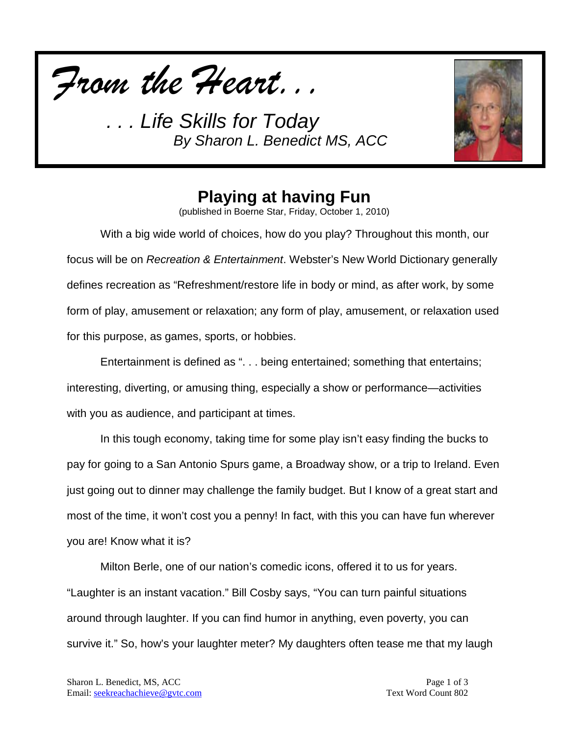



## **Playing at having Fun**

(published in Boerne Star, Friday, October 1, 2010)

With a big wide world of choices, how do you play? Throughout this month, our focus will be on *Recreation & Entertainment*. Webster's New World Dictionary generally defines recreation as "Refreshment/restore life in body or mind, as after work, by some form of play, amusement or relaxation; any form of play, amusement, or relaxation used for this purpose, as games, sports, or hobbies.

Entertainment is defined as ". . . being entertained; something that entertains; interesting, diverting, or amusing thing, especially a show or performance—activities with you as audience, and participant at times.

In this tough economy, taking time for some play isn't easy finding the bucks to pay for going to a San Antonio Spurs game, a Broadway show, or a trip to Ireland. Even just going out to dinner may challenge the family budget. But I know of a great start and most of the time, it won't cost you a penny! In fact, with this you can have fun wherever you are! Know what it is?

Milton Berle, one of our nation's comedic icons, offered it to us for years. "Laughter is an instant vacation." Bill Cosby says, "You can turn painful situations around through laughter. If you can find humor in anything, even poverty, you can survive it." So, how's your laughter meter? My daughters often tease me that my laugh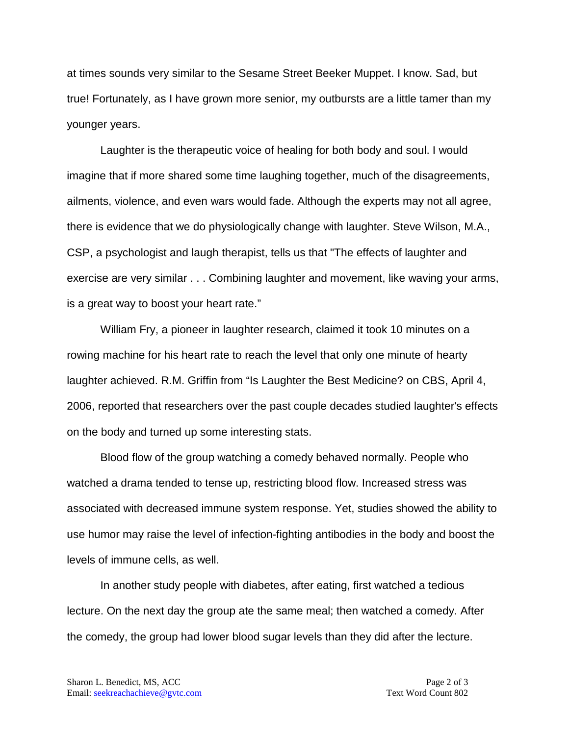at times sounds very similar to the Sesame Street Beeker Muppet. I know. Sad, but true! Fortunately, as I have grown more senior, my outbursts are a little tamer than my younger years.

Laughter is the therapeutic voice of healing for both body and soul. I would imagine that if more shared some time laughing together, much of the disagreements, ailments, violence, and even wars would fade. Although the experts may not all agree, there is evidence that we do physiologically change with laughter. Steve Wilson, M.A., CSP, a psychologist and laugh therapist, tells us that "The effects of laughter and exercise are very similar . . . Combining laughter and movement, like waving your arms, is a great way to boost your heart rate."

William Fry, a pioneer in laughter research, claimed it took 10 minutes on a rowing machine for his heart rate to reach the level that only one minute of hearty laughter achieved. R.M. Griffin from "Is Laughter the Best Medicine? on CBS, April 4, 2006, reported that researchers over the past couple decades studied laughter's effects on the body and turned up some interesting stats.

Blood flow of the group watching a comedy behaved normally. People who watched a drama tended to tense up, restricting blood flow. Increased stress was associated with decreased immune system response. Yet, studies showed the ability to use humor may raise the level of infection-fighting antibodies in the body and boost the levels of immune cells, as well.

In another study people with diabetes, after eating, first watched a tedious lecture. On the next day the group ate the same meal; then watched a comedy. After the comedy, the group had lower blood sugar levels than they did after the lecture.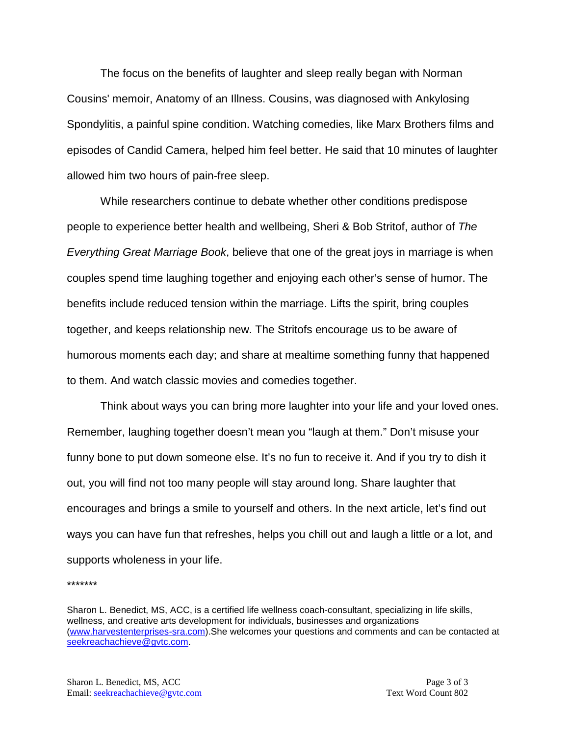The focus on the benefits of laughter and sleep really began with Norman Cousins' memoir, Anatomy of an Illness. Cousins, was diagnosed with Ankylosing Spondylitis, a painful spine condition. Watching comedies, like Marx Brothers films and episodes of Candid Camera, helped him feel better. He said that 10 minutes of laughter allowed him two hours of pain-free sleep.

While researchers continue to debate whether other conditions predispose people to experience better health and wellbeing, Sheri & Bob Stritof, author of *The Everything Great Marriage Book*, believe that one of the great joys in marriage is when couples spend time laughing together and enjoying each other's sense of humor. The benefits include reduced tension within the marriage. Lifts the spirit, bring couples together, and keeps relationship new. The Stritofs encourage us to be aware of humorous moments each day; and share at mealtime something funny that happened to them. And watch classic movies and comedies together.

Think about ways you can bring more laughter into your life and your loved ones. Remember, laughing together doesn't mean you "laugh at them." Don't misuse your funny bone to put down someone else. It's no fun to receive it. And if you try to dish it out, you will find not too many people will stay around long. Share laughter that encourages and brings a smile to yourself and others. In the next article, let's find out ways you can have fun that refreshes, helps you chill out and laugh a little or a lot, and supports wholeness in your life.

\*\*\*\*\*\*\*

Sharon L. Benedict, MS, ACC, is a certified life wellness coach-consultant, specializing in life skills, wellness, and creative arts development for individuals, businesses and organizations [\(www.harvestenterprises-sra.com\)](http://www.harvestenterprises-sra.com/).She welcomes your questions and comments and can be contacted at [seekreachachieve@gvtc.com.](mailto:seekreachachieve@gvtc.com)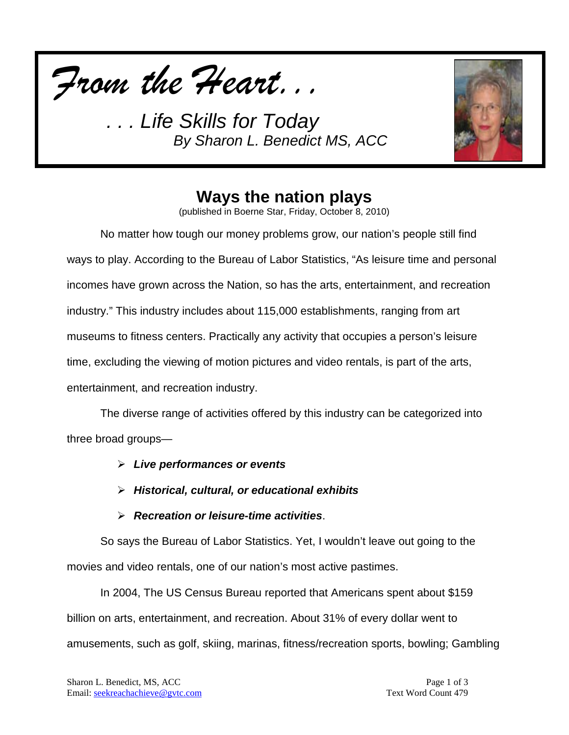*From the Heart...*



### **Ways the nation plays**

(published in Boerne Star, Friday, October 8, 2010)

No matter how tough our money problems grow, our nation's people still find ways to play. According to the Bureau of Labor Statistics, "As leisure time and personal incomes have grown across the Nation, so has the arts, entertainment, and recreation industry." This industry includes about 115,000 establishments, ranging from art museums to fitness centers. Practically any activity that occupies a person's leisure time, excluding the viewing of motion pictures and video rentals, is part of the arts, entertainment, and recreation industry.

The diverse range of activities offered by this industry can be categorized into three broad groups—

- *Live performances or events*
- *Historical, cultural, or educational exhibits*
- *Recreation or leisure-time activities*.

So says the Bureau of Labor Statistics. Yet, I wouldn't leave out going to the movies and video rentals, one of our nation's most active pastimes.

In 2004, The US Census Bureau reported that Americans spent about \$159 billion on arts, entertainment, and recreation. About 31% of every dollar went to amusements, such as golf, skiing, marinas, fitness/recreation sports, bowling; Gambling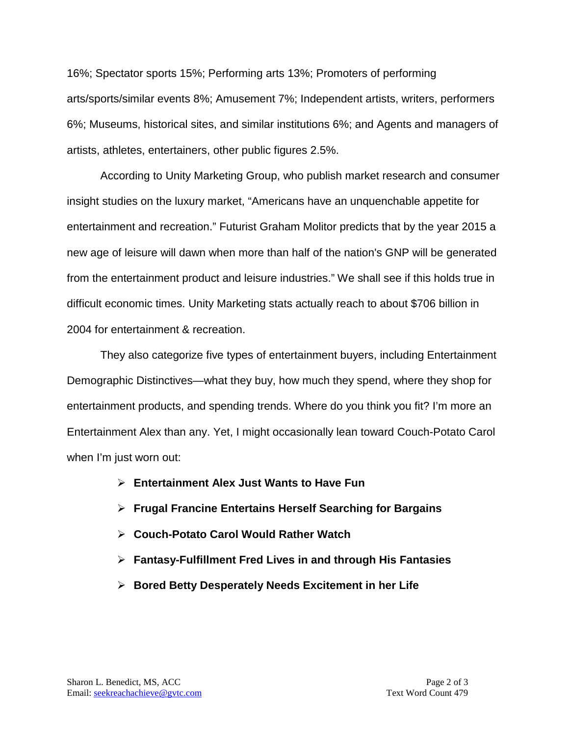16%; Spectator sports 15%; Performing arts 13%; Promoters of performing arts/sports/similar events 8%; Amusement 7%; Independent artists, writers, performers 6%; Museums, historical sites, and similar institutions 6%; and Agents and managers of artists, athletes, entertainers, other public figures 2.5%.

According to Unity Marketing Group, who publish market research and consumer insight studies on the luxury market, "Americans have an unquenchable appetite for entertainment and recreation." Futurist Graham Molitor predicts that by the year 2015 a new age of leisure will dawn when more than half of the nation's GNP will be generated from the entertainment product and leisure industries." We shall see if this holds true in difficult economic times. Unity Marketing stats actually reach to about \$706 billion in 2004 for entertainment & recreation.

They also categorize five types of entertainment buyers, including Entertainment Demographic Distinctives—what they buy, how much they spend, where they shop for entertainment products, and spending trends. Where do you think you fit? I'm more an Entertainment Alex than any. Yet, I might occasionally lean toward Couch-Potato Carol when I'm just worn out:

- **Entertainment Alex Just Wants to Have Fun**
- **Frugal Francine Entertains Herself Searching for Bargains**
- **Couch-Potato Carol Would Rather Watch**
- **Fantasy-Fulfillment Fred Lives in and through His Fantasies**
- **Bored Betty Desperately Needs Excitement in her Life**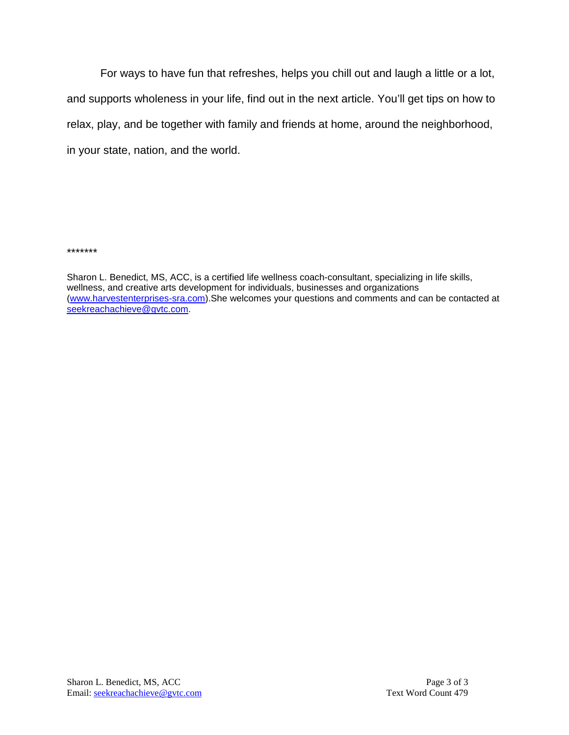For ways to have fun that refreshes, helps you chill out and laugh a little or a lot, and supports wholeness in your life, find out in the next article. You'll get tips on how to relax, play, and be together with family and friends at home, around the neighborhood, in your state, nation, and the world.

\*\*\*\*\*\*\*

Sharon L. Benedict, MS, ACC, is a certified life wellness coach-consultant, specializing in life skills, wellness, and creative arts development for individuals, businesses and organizations [\(www.harvestenterprises-sra.com\)](http://www.harvestenterprises-sra.com/).She welcomes your questions and comments and can be contacted at [seekreachachieve@gvtc.com.](mailto:seekreachachieve@gvtc.com)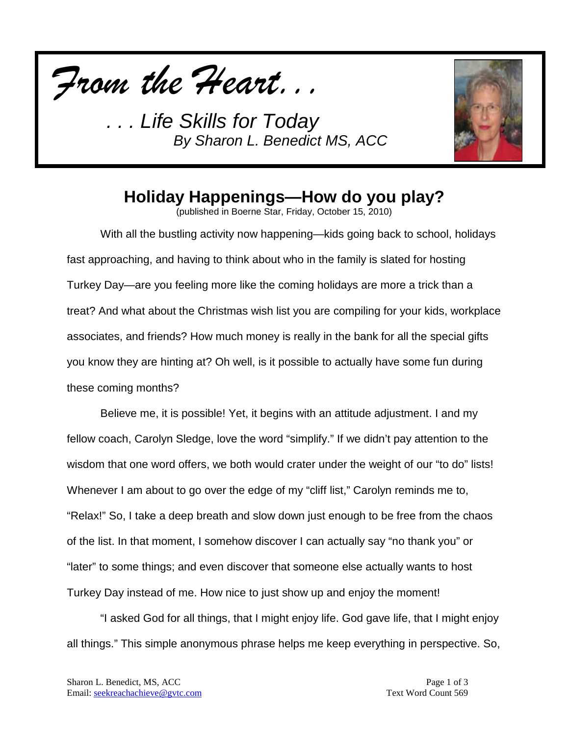



# **Holiday Happenings—How do you play?**

(published in Boerne Star, Friday, October 15, 2010)

With all the bustling activity now happening—kids going back to school, holidays fast approaching, and having to think about who in the family is slated for hosting Turkey Day—are you feeling more like the coming holidays are more a trick than a treat? And what about the Christmas wish list you are compiling for your kids, workplace associates, and friends? How much money is really in the bank for all the special gifts you know they are hinting at? Oh well, is it possible to actually have some fun during these coming months?

Believe me, it is possible! Yet, it begins with an attitude adjustment. I and my fellow coach, Carolyn Sledge, love the word "simplify." If we didn't pay attention to the wisdom that one word offers, we both would crater under the weight of our "to do" lists! Whenever I am about to go over the edge of my "cliff list," Carolyn reminds me to, "Relax!" So, I take a deep breath and slow down just enough to be free from the chaos of the list. In that moment, I somehow discover I can actually say "no thank you" or "later" to some things; and even discover that someone else actually wants to host Turkey Day instead of me. How nice to just show up and enjoy the moment!

"I asked God for all things, that I might enjoy life. God gave life, that I might enjoy all things." This simple anonymous phrase helps me keep everything in perspective. So,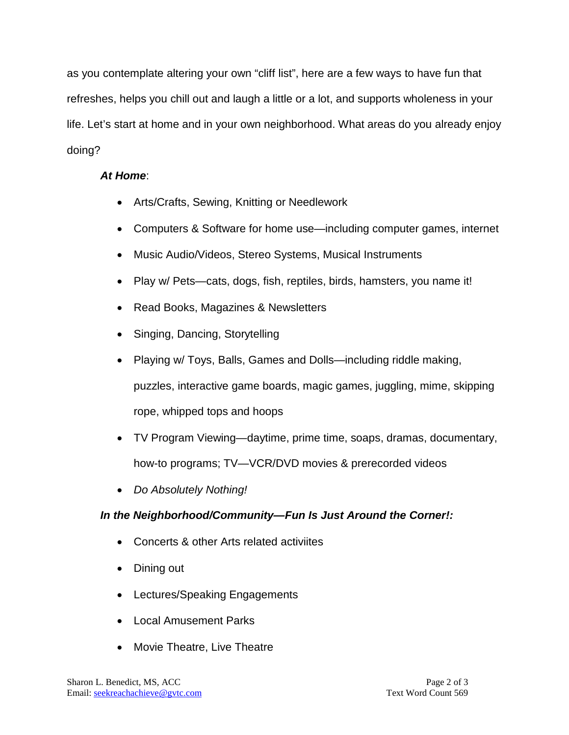as you contemplate altering your own "cliff list", here are a few ways to have fun that refreshes, helps you chill out and laugh a little or a lot, and supports wholeness in your life. Let's start at home and in your own neighborhood. What areas do you already enjoy doing?

#### *At Home*:

- Arts/Crafts, Sewing, Knitting or Needlework
- Computers & Software for home use—including computer games, internet
- Music Audio/Videos, Stereo Systems, Musical Instruments
- Play w/ Pets—cats, dogs, fish, reptiles, birds, hamsters, you name it!
- Read Books, Magazines & Newsletters
- Singing, Dancing, Storytelling
- Playing w/ Toys, Balls, Games and Dolls—including riddle making, puzzles, interactive game boards, magic games, juggling, mime, skipping rope, whipped tops and hoops
- TV Program Viewing—daytime, prime time, soaps, dramas, documentary, how-to programs; TV—VCR/DVD movies & prerecorded videos
- *Do Absolutely Nothing!*

#### *In the Neighborhood/Community—Fun Is Just Around the Corner!:*

- Concerts & other Arts related activiites
- Dining out
- Lectures/Speaking Engagements
- Local Amusement Parks
- Movie Theatre, Live Theatre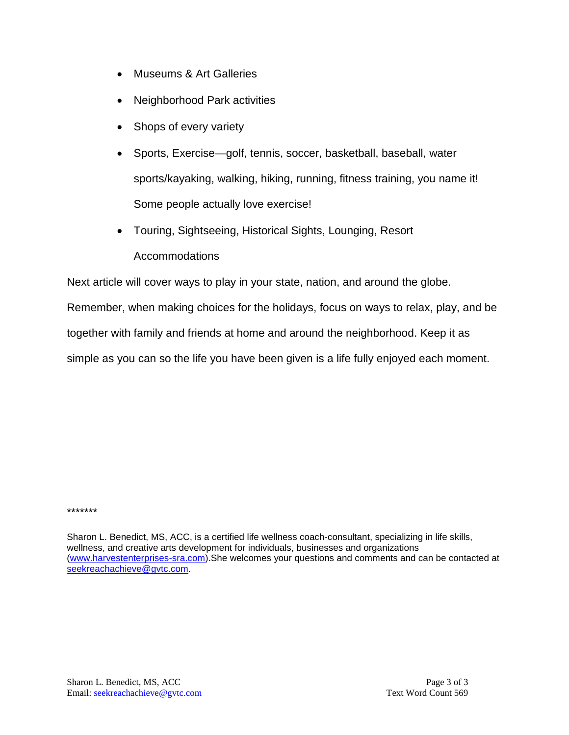- Museums & Art Galleries
- Neighborhood Park activities
- Shops of every variety
- Sports, Exercise—golf, tennis, soccer, basketball, baseball, water sports/kayaking, walking, hiking, running, fitness training, you name it! Some people actually love exercise!
- Touring, Sightseeing, Historical Sights, Lounging, Resort Accommodations

Next article will cover ways to play in your state, nation, and around the globe.

Remember, when making choices for the holidays, focus on ways to relax, play, and be

together with family and friends at home and around the neighborhood. Keep it as

simple as you can so the life you have been given is a life fully enjoyed each moment.

\*\*\*\*\*\*\*

Sharon L. Benedict, MS, ACC, is a certified life wellness coach-consultant, specializing in life skills, wellness, and creative arts development for individuals, businesses and organizations [\(www.harvestenterprises-sra.com\)](http://www.harvestenterprises-sra.com/).She welcomes your questions and comments and can be contacted at [seekreachachieve@gvtc.com.](mailto:seekreachachieve@gvtc.com)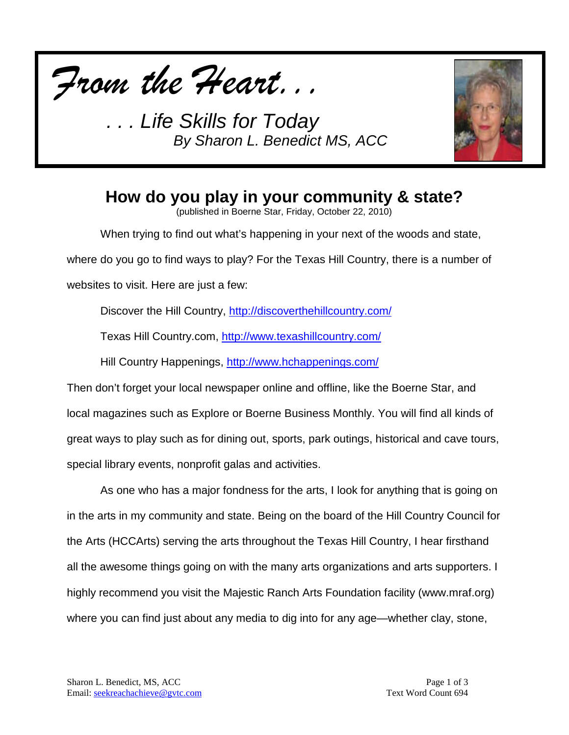



### **How do you play in your community & state?**

(published in Boerne Star, Friday, October 22, 2010)

When trying to find out what's happening in your next of the woods and state,

where do you go to find ways to play? For the Texas Hill Country, there is a number of

websites to visit. Here are just a few:

Discover the Hill Country,<http://discoverthehillcountry.com/>

Texas Hill Country.com,<http://www.texashillcountry.com/>

Hill Country Happenings,<http://www.hchappenings.com/>

Then don't forget your local newspaper online and offline, like the Boerne Star, and local magazines such as Explore or Boerne Business Monthly. You will find all kinds of great ways to play such as for dining out, sports, park outings, historical and cave tours, special library events, nonprofit galas and activities.

As one who has a major fondness for the arts, I look for anything that is going on in the arts in my community and state. Being on the board of the Hill Country Council for the Arts (HCCArts) serving the arts throughout the Texas Hill Country, I hear firsthand all the awesome things going on with the many arts organizations and arts supporters. I highly recommend you visit the Majestic Ranch Arts Foundation facility (www.mraf.org) where you can find just about any media to dig into for any age—whether clay, stone,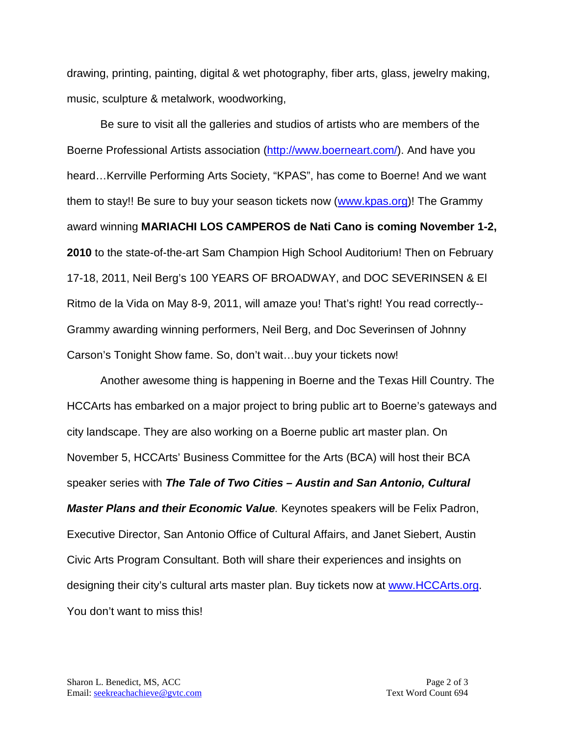drawing, printing, painting, digital & wet photography, fiber arts, glass, jewelry making, music, sculpture & metalwork, woodworking,

Be sure to visit all the galleries and studios of artists who are members of the Boerne Professional Artists association [\(http://www.boerneart.com/\)](http://www.boerneart.com/). And have you heard…Kerrville Performing Arts Society, "KPAS", has come to Boerne! And we want them to stay!! Be sure to buy your season tickets now [\(www.kpas.org\)](http://www.kpas.org/)! The Grammy award winning **MARIACHI LOS CAMPEROS de Nati Cano is coming November 1-2, 2010** to the state-of-the-art Sam Champion High School Auditorium! Then on February 17-18, 2011, Neil Berg's 100 YEARS OF BROADWAY, and DOC SEVERINSEN & El Ritmo de la Vida on May 8-9, 2011, will amaze you! That's right! You read correctly-- Grammy awarding winning performers, Neil Berg, and Doc Severinsen of Johnny Carson's Tonight Show fame. So, don't wait…buy your tickets now!

Another awesome thing is happening in Boerne and the Texas Hill Country. The HCCArts has embarked on a major project to bring public art to Boerne's gateways and city landscape. They are also working on a Boerne public art master plan. On November 5, HCCArts' Business Committee for the Arts (BCA) will host their BCA speaker series with *The Tale of Two Cities – Austin and San Antonio, Cultural Master Plans and their Economic Value.* Keynotes speakers will be Felix Padron, Executive Director, San Antonio Office of Cultural Affairs, and Janet Siebert, Austin Civic Arts Program Consultant. Both will share their experiences and insights on designing their city's cultural arts master plan. Buy tickets now at [www.HCCArts.org.](http://www.hccarts.org/) You don't want to miss this!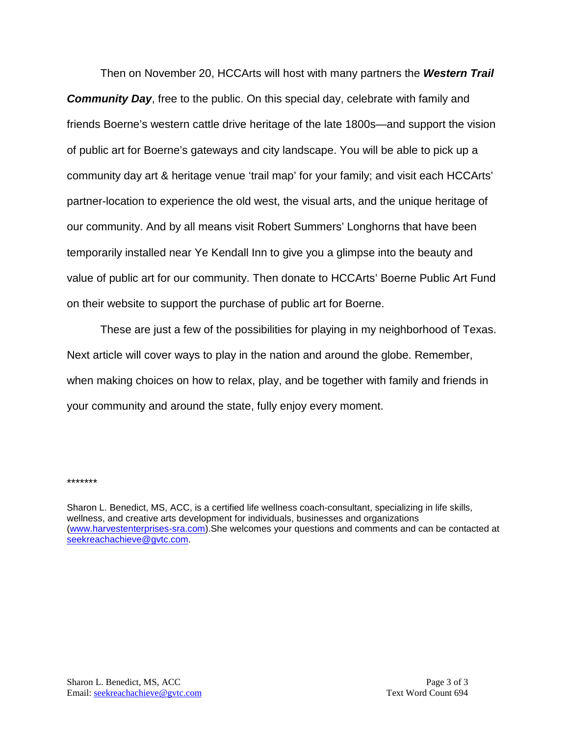Then on November 20, HCCArts will host with many partners the *Western Trail Community Day*, free to the public. On this special day, celebrate with family and friends Boerne's western cattle drive heritage of the late 1800s—and support the vision of public art for Boerne's gateways and city landscape. You will be able to pick up a community day art & heritage venue 'trail map' for your family; and visit each HCCArts' partner-location to experience the old west, the visual arts, and the unique heritage of our community. And by all means visit Robert Summers' Longhorns that have been temporarily installed near Ye Kendall Inn to give you a glimpse into the beauty and value of public art for our community. Then donate to HCCArts' Boerne Public Art Fund on their website to support the purchase of public art for Boerne.

These are just a few of the possibilities for playing in my neighborhood of Texas. Next article will cover ways to play in the nation and around the globe. Remember, when making choices on how to relax, play, and be together with family and friends in your community and around the state, fully enjoy every moment.

\*\*\*\*\*\*\*

Sharon L. Benedict, MS, ACC, is a certified life wellness coach-consultant, specializing in life skills, wellness, and creative arts development for individuals, businesses and organizations [\(www.harvestenterprises-sra.com\)](http://www.harvestenterprises-sra.com/).She welcomes your questions and comments and can be contacted at [seekreachachieve@gvtc.com.](mailto:seekreachachieve@gvtc.com)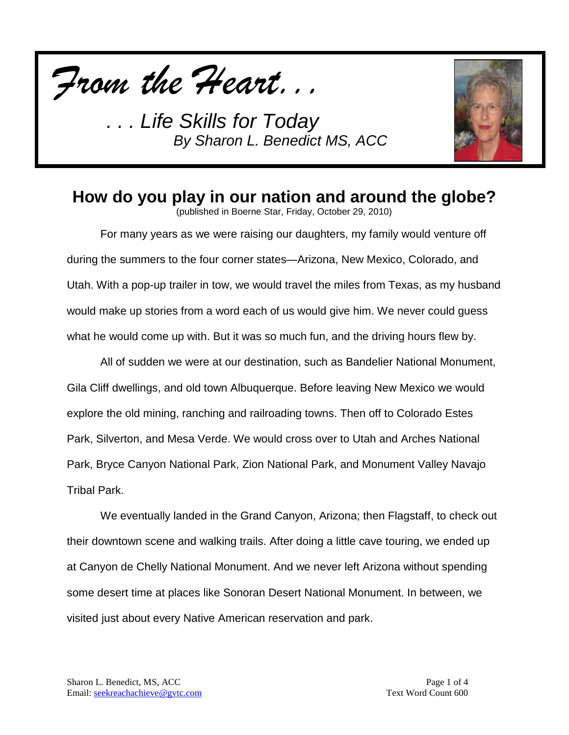



### **How do you play in our nation and around the globe?**

(published in Boerne Star, Friday, October 29, 2010)

For many years as we were raising our daughters, my family would venture off during the summers to the four corner states—Arizona, New Mexico, Colorado, and Utah. With a pop-up trailer in tow, we would travel the miles from Texas, as my husband would make up stories from a word each of us would give him. We never could guess what he would come up with. But it was so much fun, and the driving hours flew by.

All of sudden we were at our destination, such as Bandelier National Monument, Gila Cliff dwellings, and old town Albuquerque. Before leaving New Mexico we would explore the old mining, ranching and railroading towns. Then off to Colorado Estes Park, Silverton, and Mesa Verde. We would cross over to Utah and Arches National Park, Bryce Canyon National Park, Zion National Park, and Monument Valley Navajo Tribal Park.

We eventually landed in the Grand Canyon, Arizona; then Flagstaff, to check out their downtown scene and walking trails. After doing a little cave touring, we ended up at Canyon de Chelly National Monument. And we never left Arizona without spending some desert time at places like Sonoran Desert National Monument. In between, we visited just about every Native American reservation and park.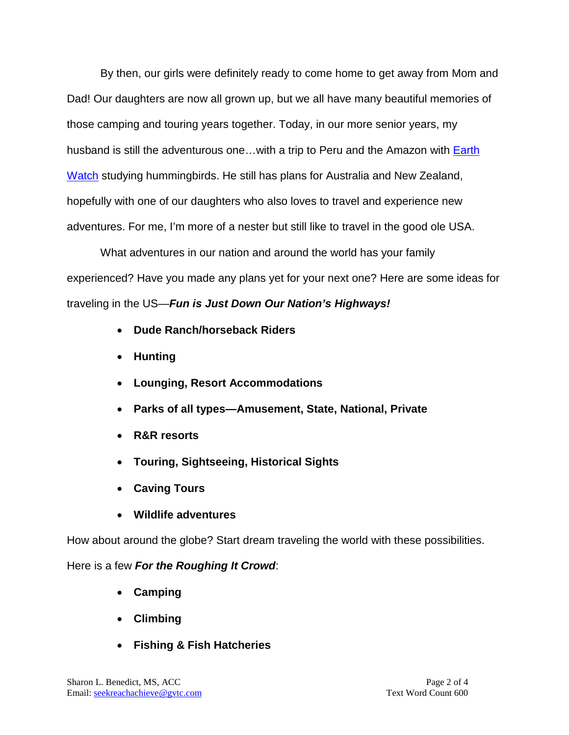By then, our girls were definitely ready to come home to get away from Mom and Dad! Our daughters are now all grown up, but we all have many beautiful memories of those camping and touring years together. Today, in our more senior years, my husband is still the adventurous one...with a trip to Peru and the Amazon with **Earth** [Watch](http://www.earthwatch.org/) studying hummingbirds. He still has plans for Australia and New Zealand, hopefully with one of our daughters who also loves to travel and experience new adventures. For me, I'm more of a nester but still like to travel in the good ole USA.

What adventures in our nation and around the world has your family experienced? Have you made any plans yet for your next one? Here are some ideas for traveling in the US—*Fun is Just Down Our Nation's Highways!*

- **Dude Ranch/horseback Riders**
- **Hunting**
- **Lounging, Resort Accommodations**
- **Parks of all types—Amusement, State, National, Private**
- **R&R resorts**
- **Touring, Sightseeing, Historical Sights**
- **Caving Tours**
- **Wildlife adventures**

How about around the globe? Start dream traveling the world with these possibilities.

Here is a few *For the Roughing It Crowd*:

- **Camping**
- **Climbing**
- **Fishing & Fish Hatcheries**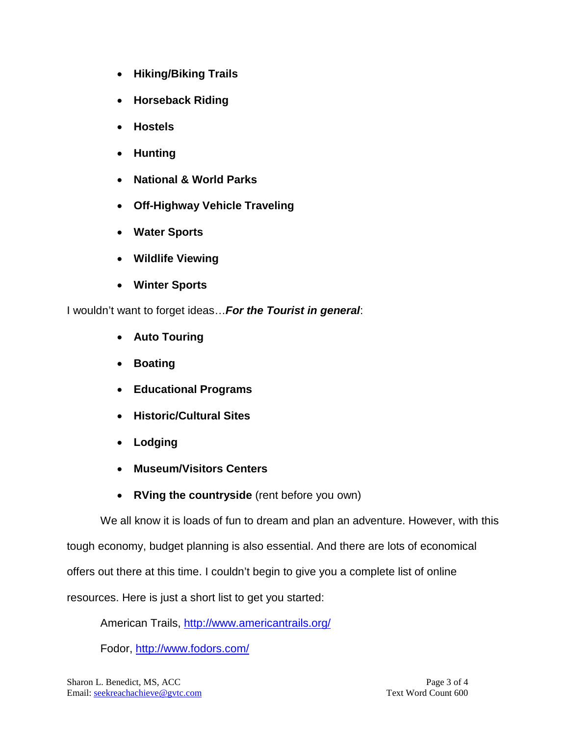- **Hiking/Biking Trails**
- **Horseback Riding**
- **Hostels**
- **Hunting**
- **National & World Parks**
- **Off-Highway Vehicle Traveling**
- **Water Sports**
- **Wildlife Viewing**
- **Winter Sports**

I wouldn't want to forget ideas…*For the Tourist in general*:

- **Auto Touring**
- **Boating**
- **Educational Programs**
- **Historic/Cultural Sites**
- **Lodging**
- **Museum/Visitors Centers**
- **RVing the countryside** (rent before you own)

We all know it is loads of fun to dream and plan an adventure. However, with this

tough economy, budget planning is also essential. And there are lots of economical

offers out there at this time. I couldn't begin to give you a complete list of online

resources. Here is just a short list to get you started:

American Trails,<http://www.americantrails.org/>

Fodor,<http://www.fodors.com/>